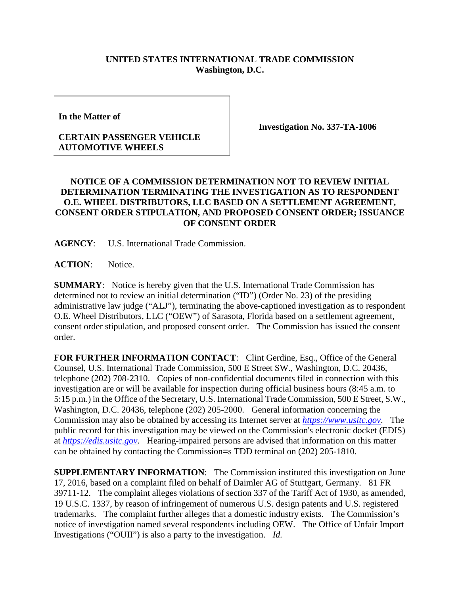## **UNITED STATES INTERNATIONAL TRADE COMMISSION Washington, D.C.**

**In the Matter of** 

## **CERTAIN PASSENGER VEHICLE AUTOMOTIVE WHEELS**

**Investigation No. 337-TA-1006**

## **NOTICE OF A COMMISSION DETERMINATION NOT TO REVIEW INITIAL DETERMINATION TERMINATING THE INVESTIGATION AS TO RESPONDENT O.E. WHEEL DISTRIBUTORS, LLC BASED ON A SETTLEMENT AGREEMENT, CONSENT ORDER STIPULATION, AND PROPOSED CONSENT ORDER; ISSUANCE OF CONSENT ORDER**

**AGENCY**: U.S. International Trade Commission.

ACTION: Notice.

**SUMMARY**: Notice is hereby given that the U.S. International Trade Commission has determined not to review an initial determination ("ID") (Order No. 23) of the presiding administrative law judge ("ALJ"), terminating the above-captioned investigation as to respondent O.E. Wheel Distributors, LLC ("OEW") of Sarasota, Florida based on a settlement agreement, consent order stipulation, and proposed consent order. The Commission has issued the consent order.

FOR FURTHER INFORMATION CONTACT: Clint Gerdine, Esq., Office of the General Counsel, U.S. International Trade Commission, 500 E Street SW., Washington, D.C. 20436, telephone (202) 708-2310. Copies of non-confidential documents filed in connection with this investigation are or will be available for inspection during official business hours (8:45 a.m. to 5:15 p.m.) in the Office of the Secretary, U.S. International Trade Commission, 500 E Street, S.W., Washington, D.C. 20436, telephone (202) 205-2000. General information concerning the Commission may also be obtained by accessing its Internet server at *[https://www.usitc.gov](https://www.usitc.gov/)*. The public record for this investigation may be viewed on the Commission's electronic docket (EDIS) at *[https://edis.usitc.gov](https://edis.usitc.gov/)*. Hearing-impaired persons are advised that information on this matter can be obtained by contacting the Commission=s TDD terminal on (202) 205-1810.

**SUPPLEMENTARY INFORMATION**: The Commission instituted this investigation on June 17, 2016, based on a complaint filed on behalf of Daimler AG of Stuttgart, Germany. 81 FR 39711-12. The complaint alleges violations of section 337 of the Tariff Act of 1930, as amended, 19 U.S.C. 1337, by reason of infringement of numerous U.S. design patents and U.S. registered trademarks. The complaint further alleges that a domestic industry exists. The Commission's notice of investigation named several respondents including OEW. The Office of Unfair Import Investigations ("OUII") is also a party to the investigation. *Id.*